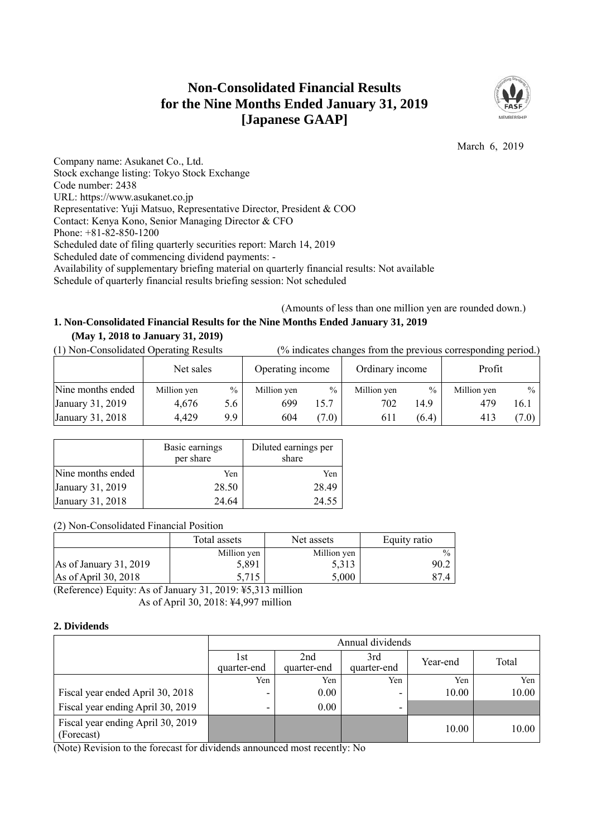# **Non-Consolidated Financial Results for the Nine Months Ended January 31, 2019 [Japanese GAAP]**



March 6, 2019

Company name: Asukanet Co., Ltd. Stock exchange listing: Tokyo Stock Exchange Code number: 2438 URL: https://www.asukanet.co.jp Representative: Yuji Matsuo, Representative Director, President & COO Contact: Kenya Kono, Senior Managing Director & CFO Phone: +81-82-850-1200 Scheduled date of filing quarterly securities report: March 14, 2019 Scheduled date of commencing dividend payments: - Availability of supplementary briefing material on quarterly financial results: Not available Schedule of quarterly financial results briefing session: Not scheduled

(Amounts of less than one million yen are rounded down.)

# **1. Non-Consolidated Financial Results for the Nine Months Ended January 31, 2019 (May 1, 2018 to January 31, 2019)**

(1) Non-Consolidated Operating Results (% indicates changes from the previous corresponding period.)

|                   | Net sales   |      | Operating income |               | Ordinary income |       | Profit      |         |
|-------------------|-------------|------|------------------|---------------|-----------------|-------|-------------|---------|
| Nine months ended | Million yen | $\%$ | Million yen      | $\frac{0}{0}$ | Million yen     | $\%$  | Million yen | $\%$ 1  |
| January 31, 2019  | 4.676       | 5.6  | 699              | 15.7          | 702             | 14.9  | 479         | 16.1    |
| January 31, 2018  | 4,429       | 9.9  | 604              | (7.0)         | 611             | (6.4) | 413         | $(7.0)$ |

|                   | Basic earnings<br>per share | Diluted earnings per<br>share |
|-------------------|-----------------------------|-------------------------------|
| Nine months ended | Yen                         | Yen                           |
| January 31, 2019  | 28.50                       | 28.49                         |
| January 31, 2018  | 24.64                       | 24.55                         |

(2) Non-Consolidated Financial Position

|                          | Total assets | Net assets  | Equity ratio  |
|--------------------------|--------------|-------------|---------------|
|                          | Million yen  | Million yen | $\frac{0}{0}$ |
| As of January $31, 2019$ | 5,891        | 5.313       | 90.2          |
| As of April 30, 2018     | 5,715        | 5,000       | 874           |

(Reference) Equity: As of January 31, 2019: ¥5,313 million As of April 30, 2018: ¥4,997 million

### **2. Dividends**

|                                                 | Annual dividends                                                            |      |     |       |       |  |  |
|-------------------------------------------------|-----------------------------------------------------------------------------|------|-----|-------|-------|--|--|
|                                                 | 2nd<br>3rd<br>l st<br>Year-end<br>quarter-end<br>quarter-end<br>quarter-end |      |     |       | Total |  |  |
|                                                 | Yen                                                                         | Yen  | Yen | Yen   | Yen   |  |  |
| Fiscal year ended April 30, 2018                | -                                                                           | 0.00 | -   | 10.00 | 10.00 |  |  |
| Fiscal year ending April 30, 2019               |                                                                             | 0.00 | -   |       |       |  |  |
| Fiscal year ending April 30, 2019<br>(Forecast) |                                                                             |      |     | 10.00 | 10.00 |  |  |

(Note) Revision to the forecast for dividends announced most recently: No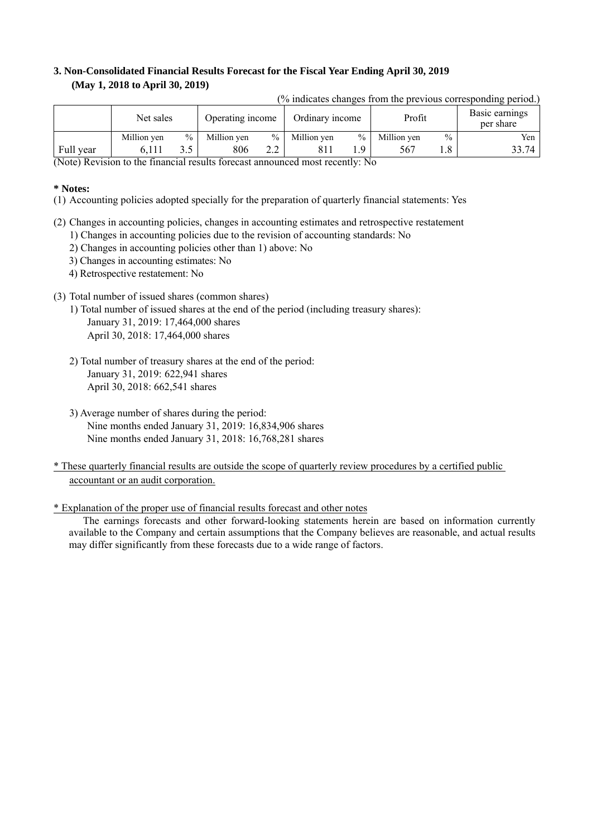### **3. Non-Consolidated Financial Results Forecast for the Fiscal Year Ending April 30, 2019 (May 1, 2018 to April 30, 2019)**

| (% indicates changes from the previous corresponding period.) |             |               |                  |               |                 |               |             |               |                             |
|---------------------------------------------------------------|-------------|---------------|------------------|---------------|-----------------|---------------|-------------|---------------|-----------------------------|
|                                                               | Net sales   |               | Operating income |               | Ordinary income |               | Profit      |               | Basic earnings<br>per share |
|                                                               | Million yen | $\frac{0}{0}$ | Million yen      | $\%$          | Million yen     | $\frac{0}{0}$ | Million yen | $\frac{0}{0}$ | Yen                         |
| Full year                                                     | 6.111       | 3.5           | 806              | $2.2^{\circ}$ | 811             | . Q           | 567         |               | 33.74                       |

(Note) Revision to the financial results forecast announced most recently: No

#### **\* Notes:**

(1) Accounting policies adopted specially for the preparation of quarterly financial statements: Yes

- (2) Changes in accounting policies, changes in accounting estimates and retrospective restatement
	- 1) Changes in accounting policies due to the revision of accounting standards: No
	- 2) Changes in accounting policies other than 1) above: No
	- 3) Changes in accounting estimates: No
	- 4) Retrospective restatement: No
- (3) Total number of issued shares (common shares)
	- 1) Total number of issued shares at the end of the period (including treasury shares): January 31, 2019: 17,464,000 shares April 30, 2018: 17,464,000 shares
	- 2) Total number of treasury shares at the end of the period: January 31, 2019: 622,941 shares April 30, 2018: 662,541 shares
	- 3) Average number of shares during the period: Nine months ended January 31, 2019: 16,834,906 shares Nine months ended January 31, 2018: 16,768,281 shares
- \* These quarterly financial results are outside the scope of quarterly review procedures by a certified public accountant or an audit corporation.
- \* Explanation of the proper use of financial results forecast and other notes

The earnings forecasts and other forward-looking statements herein are based on information currently available to the Company and certain assumptions that the Company believes are reasonable, and actual results may differ significantly from these forecasts due to a wide range of factors.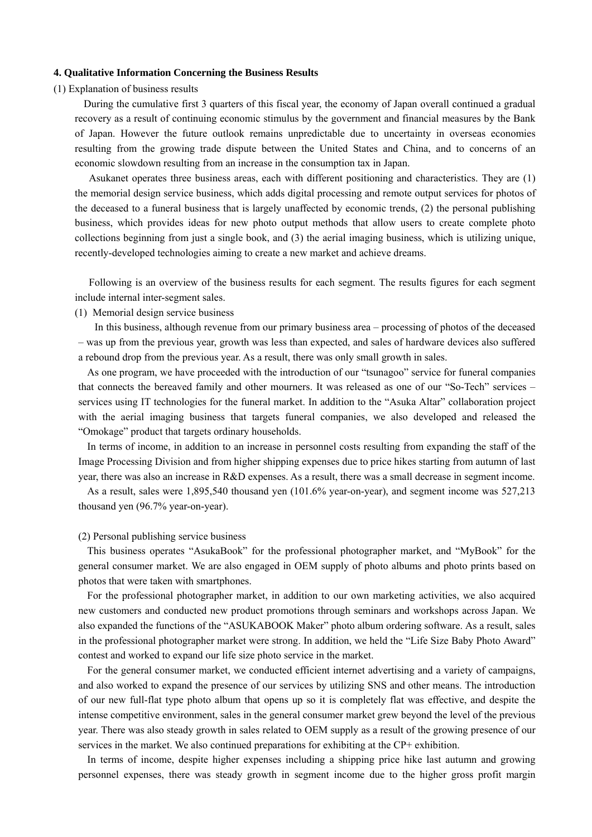#### **4. Qualitative Information Concerning the Business Results**

#### (1) Explanation of business results

During the cumulative first 3 quarters of this fiscal year, the economy of Japan overall continued a gradual recovery as a result of continuing economic stimulus by the government and financial measures by the Bank of Japan. However the future outlook remains unpredictable due to uncertainty in overseas economies resulting from the growing trade dispute between the United States and China, and to concerns of an economic slowdown resulting from an increase in the consumption tax in Japan.

Asukanet operates three business areas, each with different positioning and characteristics. They are (1) the memorial design service business, which adds digital processing and remote output services for photos of the deceased to a funeral business that is largely unaffected by economic trends, (2) the personal publishing business, which provides ideas for new photo output methods that allow users to create complete photo collections beginning from just a single book, and (3) the aerial imaging business, which is utilizing unique, recently-developed technologies aiming to create a new market and achieve dreams.

Following is an overview of the business results for each segment. The results figures for each segment include internal inter-segment sales.

(1) Memorial design service business

In this business, although revenue from our primary business area – processing of photos of the deceased – was up from the previous year, growth was less than expected, and sales of hardware devices also suffered a rebound drop from the previous year. As a result, there was only small growth in sales.

As one program, we have proceeded with the introduction of our "tsunagoo" service for funeral companies that connects the bereaved family and other mourners. It was released as one of our "So-Tech" services – services using IT technologies for the funeral market. In addition to the "Asuka Altar" collaboration project with the aerial imaging business that targets funeral companies, we also developed and released the "Omokage" product that targets ordinary households.

In terms of income, in addition to an increase in personnel costs resulting from expanding the staff of the Image Processing Division and from higher shipping expenses due to price hikes starting from autumn of last year, there was also an increase in R&D expenses. As a result, there was a small decrease in segment income.

As a result, sales were 1,895,540 thousand yen (101.6% year-on-year), and segment income was 527,213 thousand yen (96.7% year-on-year).

#### (2) Personal publishing service business

This business operates "AsukaBook" for the professional photographer market, and "MyBook" for the general consumer market. We are also engaged in OEM supply of photo albums and photo prints based on photos that were taken with smartphones.

For the professional photographer market, in addition to our own marketing activities, we also acquired new customers and conducted new product promotions through seminars and workshops across Japan. We also expanded the functions of the "ASUKABOOK Maker" photo album ordering software. As a result, sales in the professional photographer market were strong. In addition, we held the "Life Size Baby Photo Award" contest and worked to expand our life size photo service in the market.

For the general consumer market, we conducted efficient internet advertising and a variety of campaigns, and also worked to expand the presence of our services by utilizing SNS and other means. The introduction of our new full-flat type photo album that opens up so it is completely flat was effective, and despite the intense competitive environment, sales in the general consumer market grew beyond the level of the previous year. There was also steady growth in sales related to OEM supply as a result of the growing presence of our services in the market. We also continued preparations for exhibiting at the CP+ exhibition.

In terms of income, despite higher expenses including a shipping price hike last autumn and growing personnel expenses, there was steady growth in segment income due to the higher gross profit margin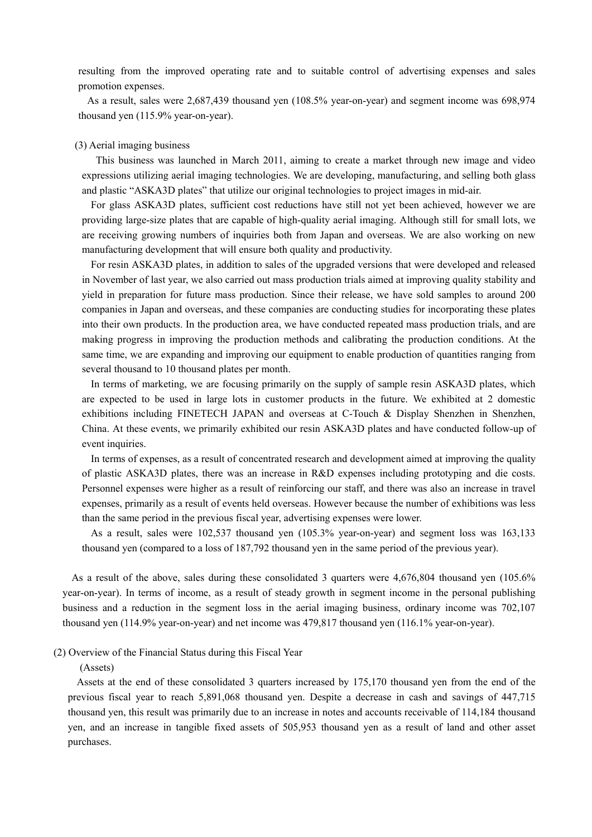resulting from the improved operating rate and to suitable control of advertising expenses and sales promotion expenses.

As a result, sales were 2,687,439 thousand yen (108.5% year-on-year) and segment income was 698,974 thousand yen (115.9% year-on-year).

#### (3) Aerial imaging business

This business was launched in March 2011, aiming to create a market through new image and video expressions utilizing aerial imaging technologies. We are developing, manufacturing, and selling both glass and plastic "ASKA3D plates" that utilize our original technologies to project images in mid-air.

For glass ASKA3D plates, sufficient cost reductions have still not yet been achieved, however we are providing large-size plates that are capable of high-quality aerial imaging. Although still for small lots, we are receiving growing numbers of inquiries both from Japan and overseas. We are also working on new manufacturing development that will ensure both quality and productivity.

For resin ASKA3D plates, in addition to sales of the upgraded versions that were developed and released in November of last year, we also carried out mass production trials aimed at improving quality stability and yield in preparation for future mass production. Since their release, we have sold samples to around 200 companies in Japan and overseas, and these companies are conducting studies for incorporating these plates into their own products. In the production area, we have conducted repeated mass production trials, and are making progress in improving the production methods and calibrating the production conditions. At the same time, we are expanding and improving our equipment to enable production of quantities ranging from several thousand to 10 thousand plates per month.

In terms of marketing, we are focusing primarily on the supply of sample resin ASKA3D plates, which are expected to be used in large lots in customer products in the future. We exhibited at 2 domestic exhibitions including FINETECH JAPAN and overseas at C-Touch & Display Shenzhen in Shenzhen, China. At these events, we primarily exhibited our resin ASKA3D plates and have conducted follow-up of event inquiries.

In terms of expenses, as a result of concentrated research and development aimed at improving the quality of plastic ASKA3D plates, there was an increase in R&D expenses including prototyping and die costs. Personnel expenses were higher as a result of reinforcing our staff, and there was also an increase in travel expenses, primarily as a result of events held overseas. However because the number of exhibitions was less than the same period in the previous fiscal year, advertising expenses were lower.

As a result, sales were 102,537 thousand yen (105.3% year-on-year) and segment loss was 163,133 thousand yen (compared to a loss of 187,792 thousand yen in the same period of the previous year).

As a result of the above, sales during these consolidated 3 quarters were 4,676,804 thousand yen (105.6% year-on-year). In terms of income, as a result of steady growth in segment income in the personal publishing business and a reduction in the segment loss in the aerial imaging business, ordinary income was 702,107 thousand yen (114.9% year-on-year) and net income was 479,817 thousand yen (116.1% year-on-year).

#### (2) Overview of the Financial Status during this Fiscal Year

#### (Assets)

Assets at the end of these consolidated 3 quarters increased by 175,170 thousand yen from the end of the previous fiscal year to reach 5,891,068 thousand yen. Despite a decrease in cash and savings of 447,715 thousand yen, this result was primarily due to an increase in notes and accounts receivable of 114,184 thousand yen, and an increase in tangible fixed assets of 505,953 thousand yen as a result of land and other asset purchases.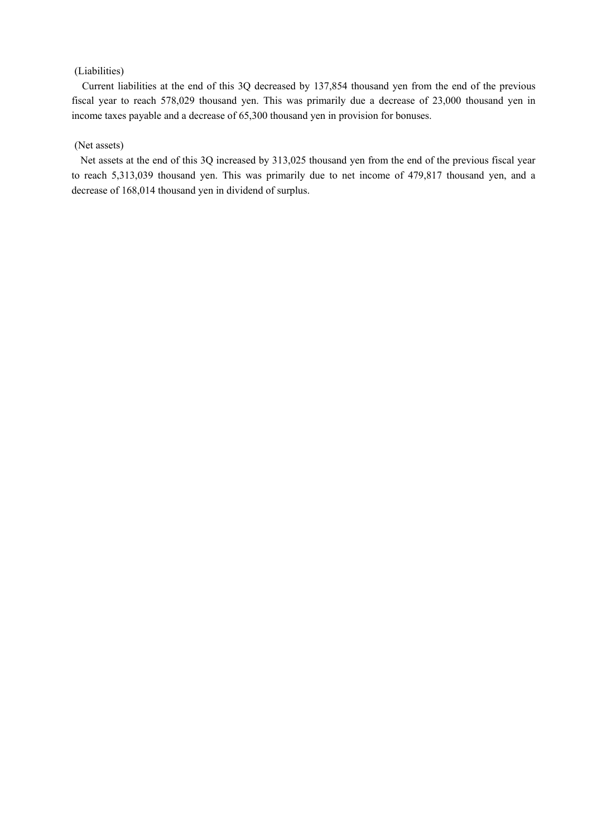### (Liabilities)

Current liabilities at the end of this 3Q decreased by 137,854 thousand yen from the end of the previous fiscal year to reach 578,029 thousand yen. This was primarily due a decrease of 23,000 thousand yen in income taxes payable and a decrease of 65,300 thousand yen in provision for bonuses.

#### (Net assets)

Net assets at the end of this 3Q increased by 313,025 thousand yen from the end of the previous fiscal year to reach 5,313,039 thousand yen. This was primarily due to net income of 479,817 thousand yen, and a decrease of 168,014 thousand yen in dividend of surplus.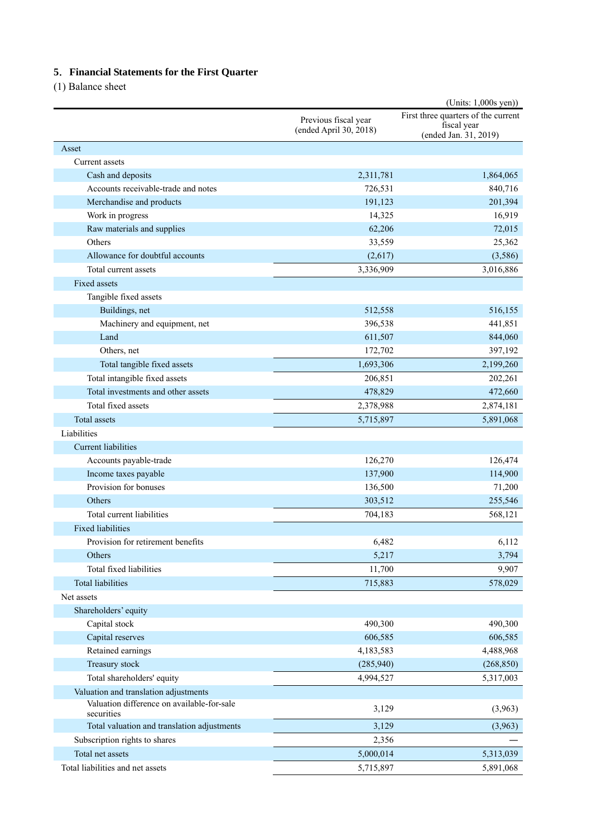### **5**.**Financial Statements for the First Quarter**

(1) Balance sheet

|                                                                                     |                        | $(Units: 1,000s$ yen))                                                      |  |
|-------------------------------------------------------------------------------------|------------------------|-----------------------------------------------------------------------------|--|
|                                                                                     | Previous fiscal year   | First three quarters of the current<br>fiscal year<br>(ended Jan. 31, 2019) |  |
|                                                                                     | (ended April 30, 2018) |                                                                             |  |
| Asset                                                                               |                        |                                                                             |  |
| Current assets                                                                      |                        |                                                                             |  |
| Cash and deposits                                                                   | 2,311,781              | 1,864,065                                                                   |  |
| Accounts receivable-trade and notes                                                 | 726,531                | 840,716                                                                     |  |
| Merchandise and products                                                            | 191,123                | 201,394                                                                     |  |
| Work in progress                                                                    | 14,325                 | 16,919                                                                      |  |
| Raw materials and supplies                                                          | 62,206                 | 72,015                                                                      |  |
| Others                                                                              | 33,559                 | 25,362                                                                      |  |
| Allowance for doubtful accounts                                                     | (2,617)                | (3,586)                                                                     |  |
| Total current assets                                                                | 3,336,909              | 3,016,886                                                                   |  |
| Fixed assets                                                                        |                        |                                                                             |  |
| Tangible fixed assets                                                               |                        |                                                                             |  |
| Buildings, net                                                                      | 512,558                | 516,155                                                                     |  |
| Machinery and equipment, net                                                        | 396,538                | 441,851                                                                     |  |
| Land                                                                                | 611,507                | 844,060                                                                     |  |
| Others, net                                                                         | 172,702                | 397,192                                                                     |  |
| Total tangible fixed assets                                                         | 1,693,306              | 2,199,260                                                                   |  |
| Total intangible fixed assets                                                       | 206,851                | 202,261                                                                     |  |
| Total investments and other assets                                                  | 478,829                | 472,660                                                                     |  |
| Total fixed assets                                                                  | 2,378,988              | 2,874,181                                                                   |  |
| Total assets                                                                        | 5,715,897              | 5,891,068                                                                   |  |
| Liabilities                                                                         |                        |                                                                             |  |
| <b>Current liabilities</b>                                                          |                        |                                                                             |  |
| Accounts payable-trade                                                              | 126,270                | 126,474                                                                     |  |
| Income taxes payable                                                                | 137,900                | 114,900                                                                     |  |
| Provision for bonuses                                                               | 136,500                | 71,200                                                                      |  |
| Others                                                                              | 303,512                | 255,546                                                                     |  |
| Total current liabilities                                                           | 704,183                | 568,121                                                                     |  |
| <b>Fixed liabilities</b>                                                            |                        |                                                                             |  |
| Provision for retirement benefits                                                   | 6,482                  | 6,112                                                                       |  |
| Others                                                                              | 5,217                  | 3,794                                                                       |  |
| Total fixed liabilities                                                             | 11,700                 | 9,907                                                                       |  |
| <b>Total liabilities</b>                                                            | 715,883                | 578,029                                                                     |  |
| Net assets                                                                          |                        |                                                                             |  |
| Shareholders' equity                                                                |                        |                                                                             |  |
| Capital stock                                                                       | 490,300                | 490,300                                                                     |  |
| Capital reserves                                                                    | 606,585                | 606,585                                                                     |  |
| Retained earnings                                                                   |                        | 4,488,968                                                                   |  |
| Treasury stock                                                                      | 4,183,583<br>(285,940) |                                                                             |  |
|                                                                                     |                        | (268, 850)                                                                  |  |
| Total shareholders' equity                                                          | 4,994,527              | 5,317,003                                                                   |  |
| Valuation and translation adjustments<br>Valuation difference on available-for-sale |                        |                                                                             |  |
| securities                                                                          | 3,129                  | (3,963)                                                                     |  |
| Total valuation and translation adjustments                                         | 3,129                  | (3,963)                                                                     |  |
| Subscription rights to shares                                                       | 2,356                  |                                                                             |  |
| Total net assets                                                                    | 5,000,014              | 5,313,039                                                                   |  |
| Total liabilities and net assets                                                    | 5,715,897              | 5,891,068                                                                   |  |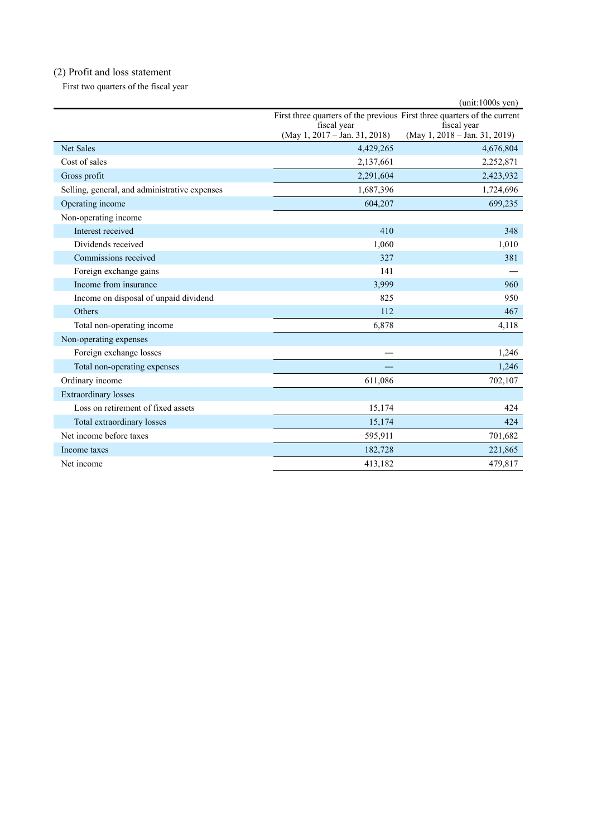# (2) Profit and loss statement

First two quarters of the fiscal year

|                                               |                                                                          | $(unit:1000s$ yen)                           |
|-----------------------------------------------|--------------------------------------------------------------------------|----------------------------------------------|
|                                               | First three quarters of the previous First three quarters of the current |                                              |
|                                               | fiscal year<br>$(May 1, 2017 - Jan. 31, 2018)$                           | fiscal year<br>(May 1, 2018 - Jan. 31, 2019) |
| <b>Net Sales</b>                              | 4,429,265                                                                | 4,676,804                                    |
| Cost of sales                                 | 2,137,661                                                                | 2,252,871                                    |
| Gross profit                                  | 2,291,604                                                                | 2,423,932                                    |
| Selling, general, and administrative expenses | 1,687,396                                                                | 1,724,696                                    |
| Operating income                              | 604,207                                                                  | 699,235                                      |
| Non-operating income                          |                                                                          |                                              |
| Interest received                             | 410                                                                      | 348                                          |
| Dividends received                            | 1,060                                                                    | 1,010                                        |
| Commissions received                          | 327                                                                      | 381                                          |
| Foreign exchange gains                        | 141                                                                      |                                              |
| Income from insurance                         | 3,999                                                                    | 960                                          |
| Income on disposal of unpaid dividend         | 825                                                                      | 950                                          |
| <b>Others</b>                                 | 112                                                                      | 467                                          |
| Total non-operating income                    | 6,878                                                                    | 4,118                                        |
| Non-operating expenses                        |                                                                          |                                              |
| Foreign exchange losses                       |                                                                          | 1,246                                        |
| Total non-operating expenses                  |                                                                          | 1,246                                        |
| Ordinary income                               | 611,086                                                                  | 702,107                                      |
| <b>Extraordinary losses</b>                   |                                                                          |                                              |
| Loss on retirement of fixed assets            | 15,174                                                                   | 424                                          |
| Total extraordinary losses                    | 15,174                                                                   | 424                                          |
| Net income before taxes                       | 595,911                                                                  | 701,682                                      |
| Income taxes                                  | 182,728                                                                  | 221,865                                      |
| Net income                                    | 413,182                                                                  | 479,817                                      |